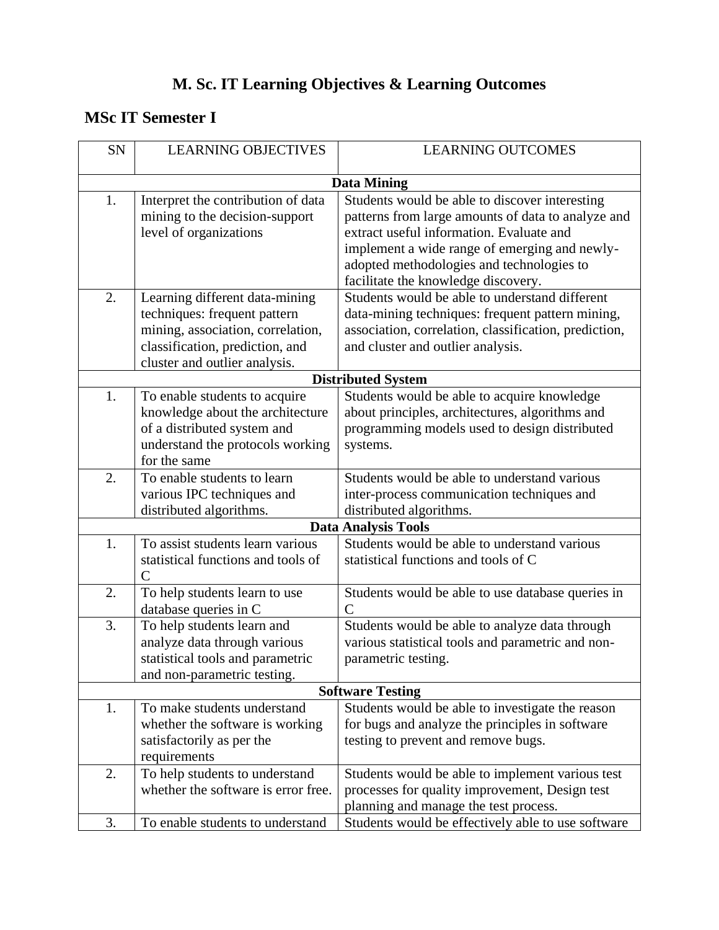# **M. Sc. IT Learning Objectives & Learning Outcomes**

# **MSc IT Semester I**

| SN | <b>LEARNING OBJECTIVES</b>                                                                                                                                              | <b>LEARNING OUTCOMES</b>                                                                                                                                                                                                                                                              |
|----|-------------------------------------------------------------------------------------------------------------------------------------------------------------------------|---------------------------------------------------------------------------------------------------------------------------------------------------------------------------------------------------------------------------------------------------------------------------------------|
|    |                                                                                                                                                                         | <b>Data Mining</b>                                                                                                                                                                                                                                                                    |
| 1. | Interpret the contribution of data<br>mining to the decision-support<br>level of organizations                                                                          | Students would be able to discover interesting<br>patterns from large amounts of data to analyze and<br>extract useful information. Evaluate and<br>implement a wide range of emerging and newly-<br>adopted methodologies and technologies to<br>facilitate the knowledge discovery. |
| 2. | Learning different data-mining<br>techniques: frequent pattern<br>mining, association, correlation,<br>classification, prediction, and<br>cluster and outlier analysis. | Students would be able to understand different<br>data-mining techniques: frequent pattern mining,<br>association, correlation, classification, prediction,<br>and cluster and outlier analysis.                                                                                      |
|    |                                                                                                                                                                         | <b>Distributed System</b>                                                                                                                                                                                                                                                             |
| 1. | To enable students to acquire<br>knowledge about the architecture<br>of a distributed system and<br>understand the protocols working<br>for the same                    | Students would be able to acquire knowledge<br>about principles, architectures, algorithms and<br>programming models used to design distributed<br>systems.                                                                                                                           |
| 2. | To enable students to learn<br>various IPC techniques and<br>distributed algorithms.                                                                                    | Students would be able to understand various<br>inter-process communication techniques and<br>distributed algorithms.                                                                                                                                                                 |
|    |                                                                                                                                                                         | <b>Data Analysis Tools</b>                                                                                                                                                                                                                                                            |
| 1. | To assist students learn various<br>statistical functions and tools of<br>$\mathcal{C}$                                                                                 | Students would be able to understand various<br>statistical functions and tools of C                                                                                                                                                                                                  |
| 2. | To help students learn to use<br>database queries in C                                                                                                                  | Students would be able to use database queries in<br>$\overline{C}$                                                                                                                                                                                                                   |
| 3. | To help students learn and<br>analyze data through various<br>statistical tools and parametric<br>and non-parametric testing.                                           | Students would be able to analyze data through<br>various statistical tools and parametric and non-<br>parametric testing.                                                                                                                                                            |
|    |                                                                                                                                                                         | <b>Software Testing</b>                                                                                                                                                                                                                                                               |
| 1. | To make students understand<br>whether the software is working<br>satisfactorily as per the<br>requirements                                                             | Students would be able to investigate the reason<br>for bugs and analyze the principles in software<br>testing to prevent and remove bugs.                                                                                                                                            |
| 2. | To help students to understand<br>whether the software is error free.                                                                                                   | Students would be able to implement various test<br>processes for quality improvement, Design test<br>planning and manage the test process.                                                                                                                                           |
| 3. | To enable students to understand                                                                                                                                        | Students would be effectively able to use software                                                                                                                                                                                                                                    |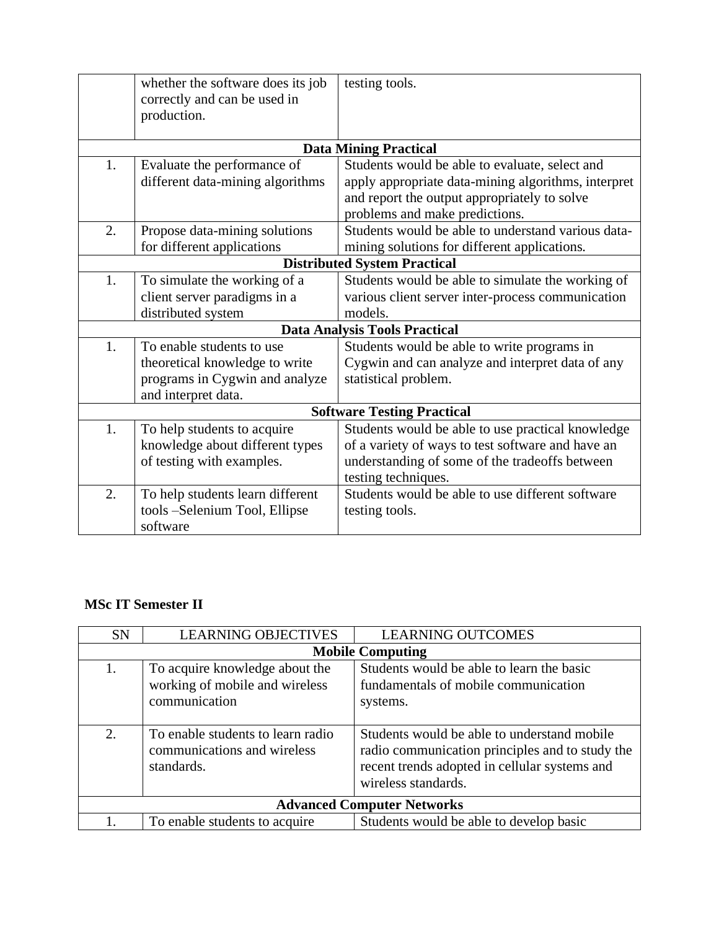|    | whether the software does its job<br>correctly and can be used in<br>production. | testing tools.                                      |
|----|----------------------------------------------------------------------------------|-----------------------------------------------------|
|    |                                                                                  | <b>Data Mining Practical</b>                        |
| 1. | Evaluate the performance of                                                      | Students would be able to evaluate, select and      |
|    | different data-mining algorithms                                                 | apply appropriate data-mining algorithms, interpret |
|    |                                                                                  | and report the output appropriately to solve        |
|    |                                                                                  | problems and make predictions.                      |
| 2. | Propose data-mining solutions                                                    | Students would be able to understand various data-  |
|    | for different applications                                                       | mining solutions for different applications.        |
|    |                                                                                  | <b>Distributed System Practical</b>                 |
| 1. | To simulate the working of a                                                     | Students would be able to simulate the working of   |
|    | client server paradigms in a                                                     | various client server inter-process communication   |
|    | distributed system                                                               | models.                                             |
|    |                                                                                  | <b>Data Analysis Tools Practical</b>                |
| 1. | To enable students to use                                                        | Students would be able to write programs in         |
|    | theoretical knowledge to write                                                   | Cygwin and can analyze and interpret data of any    |
|    | programs in Cygwin and analyze                                                   | statistical problem.                                |
|    | and interpret data.                                                              |                                                     |
|    |                                                                                  | <b>Software Testing Practical</b>                   |
| 1. | To help students to acquire                                                      | Students would be able to use practical knowledge   |
|    | knowledge about different types                                                  | of a variety of ways to test software and have an   |
|    | of testing with examples.                                                        | understanding of some of the tradeoffs between      |
|    |                                                                                  | testing techniques.                                 |
| 2. | To help students learn different                                                 | Students would be able to use different software    |
|    | tools -Selenium Tool, Ellipse                                                    | testing tools.                                      |
|    | software                                                                         |                                                     |

## **MSc IT Semester II**

| <b>SN</b> | <b>LEARNING OBJECTIVES</b>                                                        | <b>LEARNING OUTCOMES</b>                                                                                                                                               |
|-----------|-----------------------------------------------------------------------------------|------------------------------------------------------------------------------------------------------------------------------------------------------------------------|
|           |                                                                                   | <b>Mobile Computing</b>                                                                                                                                                |
| 1.        | To acquire knowledge about the<br>working of mobile and wireless<br>communication | Students would be able to learn the basic<br>fundamentals of mobile communication<br>systems.                                                                          |
| 2.        | To enable students to learn radio<br>communications and wireless<br>standards.    | Students would be able to understand mobile<br>radio communication principles and to study the<br>recent trends adopted in cellular systems and<br>wireless standards. |
|           |                                                                                   | <b>Advanced Computer Networks</b>                                                                                                                                      |
|           | To enable students to acquire                                                     | Students would be able to develop basic                                                                                                                                |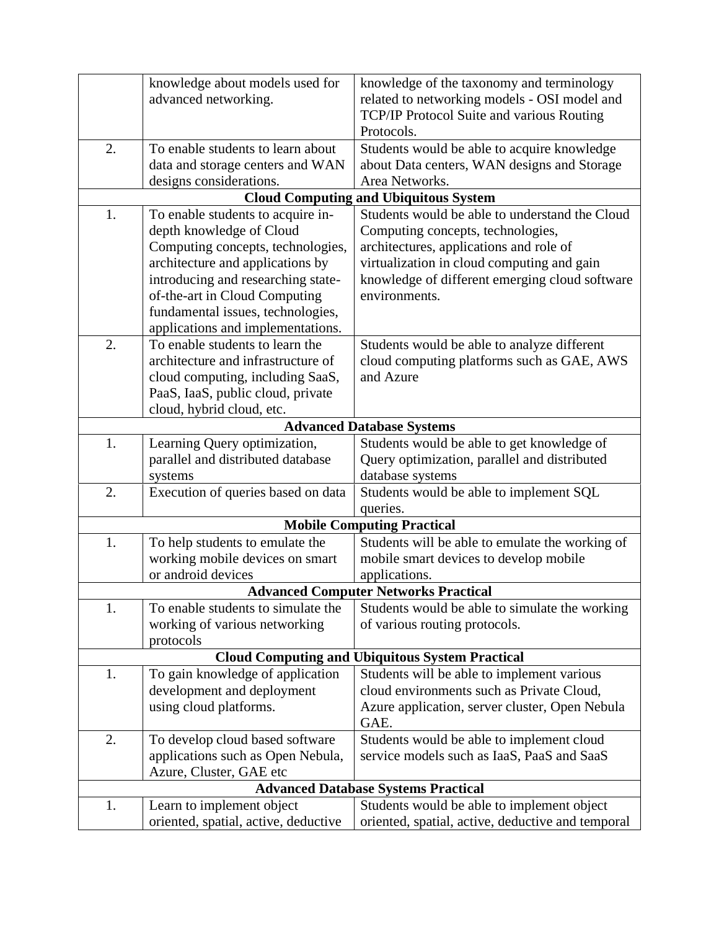|    | knowledge about models used for      | knowledge of the taxonomy and terminology              |
|----|--------------------------------------|--------------------------------------------------------|
|    | advanced networking.                 | related to networking models - OSI model and           |
|    |                                      | TCP/IP Protocol Suite and various Routing              |
|    |                                      | Protocols.                                             |
| 2. | To enable students to learn about    | Students would be able to acquire knowledge            |
|    | data and storage centers and WAN     | about Data centers, WAN designs and Storage            |
|    | designs considerations.              | Area Networks.                                         |
|    |                                      | <b>Cloud Computing and Ubiquitous System</b>           |
| 1. | To enable students to acquire in-    | Students would be able to understand the Cloud         |
|    | depth knowledge of Cloud             | Computing concepts, technologies,                      |
|    | Computing concepts, technologies,    | architectures, applications and role of                |
|    | architecture and applications by     | virtualization in cloud computing and gain             |
|    | introducing and researching state-   | knowledge of different emerging cloud software         |
|    | of-the-art in Cloud Computing        | environments.                                          |
|    | fundamental issues, technologies,    |                                                        |
|    | applications and implementations.    |                                                        |
| 2. | To enable students to learn the      | Students would be able to analyze different            |
|    | architecture and infrastructure of   | cloud computing platforms such as GAE, AWS             |
|    | cloud computing, including SaaS,     | and Azure                                              |
|    | PaaS, IaaS, public cloud, private    |                                                        |
|    | cloud, hybrid cloud, etc.            |                                                        |
|    |                                      | <b>Advanced Database Systems</b>                       |
| 1. | Learning Query optimization,         | Students would be able to get knowledge of             |
|    | parallel and distributed database    | Query optimization, parallel and distributed           |
|    | systems                              | database systems                                       |
| 2. | Execution of queries based on data   | Students would be able to implement SQL                |
|    |                                      | queries.                                               |
|    |                                      | <b>Mobile Computing Practical</b>                      |
| 1. | To help students to emulate the      | Students will be able to emulate the working of        |
|    | working mobile devices on smart      | mobile smart devices to develop mobile                 |
|    | or android devices                   | applications.                                          |
|    |                                      | <b>Advanced Computer Networks Practical</b>            |
| 1. | To enable students to simulate the   | Students would be able to simulate the working         |
|    | working of various networking        | of various routing protocols.                          |
|    | protocols                            |                                                        |
|    |                                      | <b>Cloud Computing and Ubiquitous System Practical</b> |
| 1. | To gain knowledge of application     | Students will be able to implement various             |
|    | development and deployment           | cloud environments such as Private Cloud,              |
|    | using cloud platforms.               | Azure application, server cluster, Open Nebula         |
|    |                                      | GAE.                                                   |
| 2. | To develop cloud based software      | Students would be able to implement cloud              |
|    | applications such as Open Nebula,    | service models such as IaaS, PaaS and SaaS             |
|    | Azure, Cluster, GAE etc              |                                                        |
|    |                                      | <b>Advanced Database Systems Practical</b>             |
| 1. | Learn to implement object            | Students would be able to implement object             |
|    | oriented, spatial, active, deductive | oriented, spatial, active, deductive and temporal      |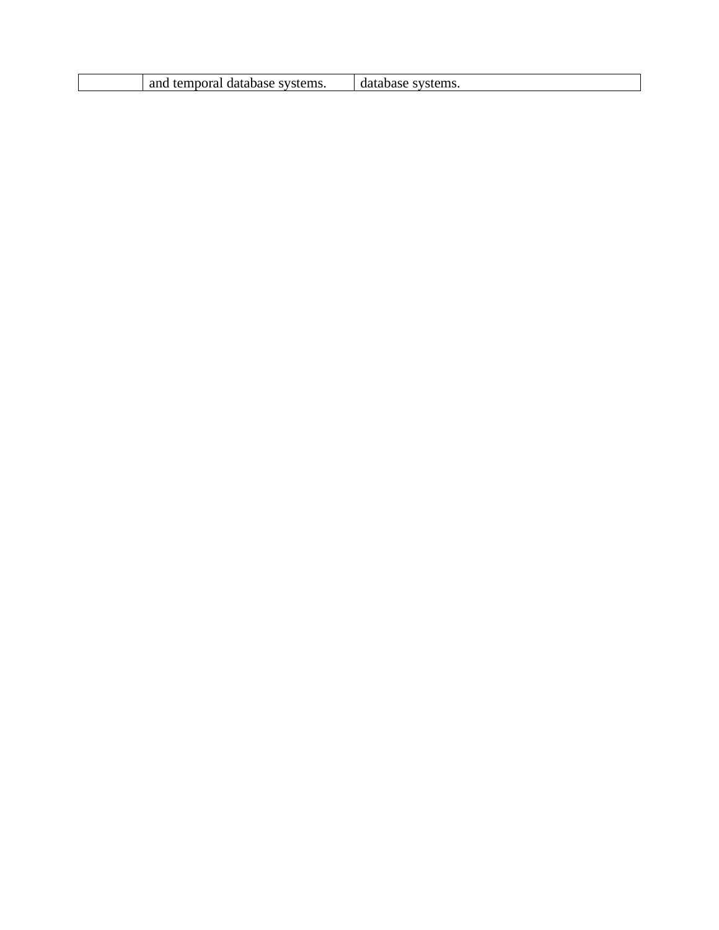| and temporal database systems. | database systems. |
|--------------------------------|-------------------|
|--------------------------------|-------------------|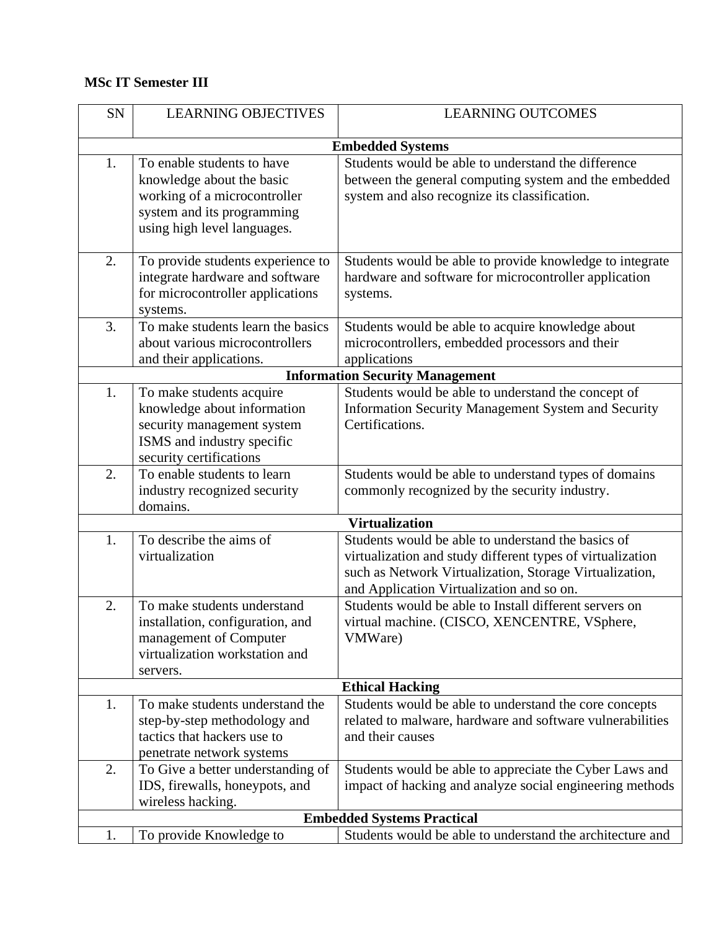#### **MSc IT Semester III**

| SN | <b>LEARNING OBJECTIVES</b>                                                                                                                           | <b>LEARNING OUTCOMES</b>                                                                                                                                                                                                 |
|----|------------------------------------------------------------------------------------------------------------------------------------------------------|--------------------------------------------------------------------------------------------------------------------------------------------------------------------------------------------------------------------------|
|    |                                                                                                                                                      | <b>Embedded Systems</b>                                                                                                                                                                                                  |
| 1. | To enable students to have<br>knowledge about the basic<br>working of a microcontroller<br>system and its programming<br>using high level languages. | Students would be able to understand the difference<br>between the general computing system and the embedded<br>system and also recognize its classification.                                                            |
| 2. | To provide students experience to<br>integrate hardware and software<br>for microcontroller applications<br>systems.                                 | Students would be able to provide knowledge to integrate<br>hardware and software for microcontroller application<br>systems.                                                                                            |
| 3. | To make students learn the basics<br>about various microcontrollers<br>and their applications.                                                       | Students would be able to acquire knowledge about<br>microcontrollers, embedded processors and their<br>applications                                                                                                     |
|    |                                                                                                                                                      | <b>Information Security Management</b>                                                                                                                                                                                   |
| 1. | To make students acquire<br>knowledge about information<br>security management system<br>ISMS and industry specific<br>security certifications       | Students would be able to understand the concept of<br>Information Security Management System and Security<br>Certifications.                                                                                            |
| 2. | To enable students to learn<br>industry recognized security<br>domains.                                                                              | Students would be able to understand types of domains<br>commonly recognized by the security industry.                                                                                                                   |
|    |                                                                                                                                                      | <b>Virtualization</b>                                                                                                                                                                                                    |
| 1. | To describe the aims of<br>virtualization                                                                                                            | Students would be able to understand the basics of<br>virtualization and study different types of virtualization<br>such as Network Virtualization, Storage Virtualization,<br>and Application Virtualization and so on. |
| 2. | To make students understand<br>installation, configuration, and<br>management of Computer<br>virtualization workstation and<br>servers.              | Students would be able to Install different servers on<br>virtual machine. (CISCO, XENCENTRE, VSphere,<br>VMWare)                                                                                                        |
|    |                                                                                                                                                      | <b>Ethical Hacking</b>                                                                                                                                                                                                   |
| 1. | To make students understand the<br>step-by-step methodology and<br>tactics that hackers use to<br>penetrate network systems                          | Students would be able to understand the core concepts<br>related to malware, hardware and software vulnerabilities<br>and their causes                                                                                  |
| 2. | To Give a better understanding of<br>IDS, firewalls, honeypots, and<br>wireless hacking.                                                             | Students would be able to appreciate the Cyber Laws and<br>impact of hacking and analyze social engineering methods                                                                                                      |
|    |                                                                                                                                                      | <b>Embedded Systems Practical</b>                                                                                                                                                                                        |
| 1. | To provide Knowledge to                                                                                                                              | Students would be able to understand the architecture and                                                                                                                                                                |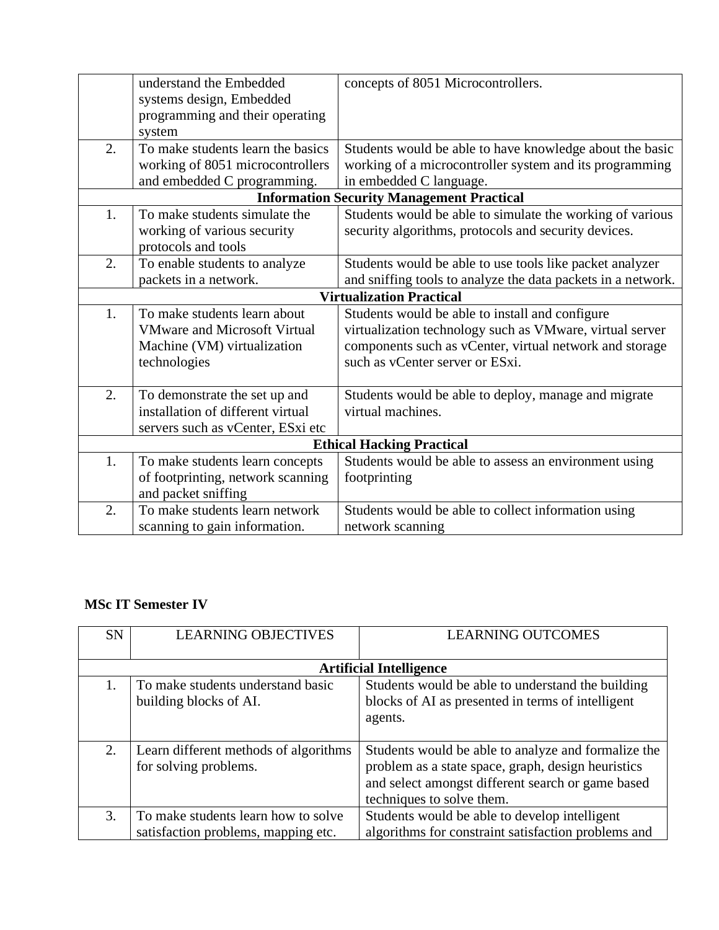|    | understand the Embedded                          | concepts of 8051 Microcontrollers.                           |  |
|----|--------------------------------------------------|--------------------------------------------------------------|--|
|    | systems design, Embedded                         |                                                              |  |
|    | programming and their operating                  |                                                              |  |
|    | system                                           |                                                              |  |
| 2. | To make students learn the basics                | Students would be able to have knowledge about the basic     |  |
|    | working of 8051 microcontrollers                 | working of a microcontroller system and its programming      |  |
|    | and embedded C programming.                      | in embedded C language.                                      |  |
|    | <b>Information Security Management Practical</b> |                                                              |  |
| 1. | To make students simulate the                    | Students would be able to simulate the working of various    |  |
|    | working of various security                      | security algorithms, protocols and security devices.         |  |
|    | protocols and tools                              |                                                              |  |
| 2. | To enable students to analyze                    | Students would be able to use tools like packet analyzer     |  |
|    | packets in a network.                            | and sniffing tools to analyze the data packets in a network. |  |
|    |                                                  | <b>Virtualization Practical</b>                              |  |
| 1. | To make students learn about                     | Students would be able to install and configure              |  |
|    | <b>VMware and Microsoft Virtual</b>              | virtualization technology such as VMware, virtual server     |  |
|    | Machine (VM) virtualization                      | components such as vCenter, virtual network and storage      |  |
|    | technologies                                     | such as vCenter server or ESxi.                              |  |
|    |                                                  |                                                              |  |
| 2. | To demonstrate the set up and                    | Students would be able to deploy, manage and migrate         |  |
|    | installation of different virtual                | virtual machines.                                            |  |
|    | servers such as vCenter, ESxi etc                |                                                              |  |
|    |                                                  | <b>Ethical Hacking Practical</b>                             |  |
| 1. | To make students learn concepts                  | Students would be able to assess an environment using        |  |
|    | of footprinting, network scanning                | footprinting                                                 |  |
|    | and packet sniffing                              |                                                              |  |
| 2. | To make students learn network                   | Students would be able to collect information using          |  |
|    | scanning to gain information.                    | network scanning                                             |  |

### **MSc IT Semester IV**

| <b>SN</b> | <b>LEARNING OBJECTIVES</b>                                                 | <b>LEARNING OUTCOMES</b>                                                                                                                                                                    |
|-----------|----------------------------------------------------------------------------|---------------------------------------------------------------------------------------------------------------------------------------------------------------------------------------------|
|           |                                                                            | <b>Artificial Intelligence</b>                                                                                                                                                              |
| 1.        | To make students understand basic<br>building blocks of AI.                | Students would be able to understand the building<br>blocks of AI as presented in terms of intelligent<br>agents.                                                                           |
| 2.        | Learn different methods of algorithms<br>for solving problems.             | Students would be able to analyze and formalize the<br>problem as a state space, graph, design heuristics<br>and select amongst different search or game based<br>techniques to solve them. |
| 3.        | To make students learn how to solve<br>satisfaction problems, mapping etc. | Students would be able to develop intelligent<br>algorithms for constraint satisfaction problems and                                                                                        |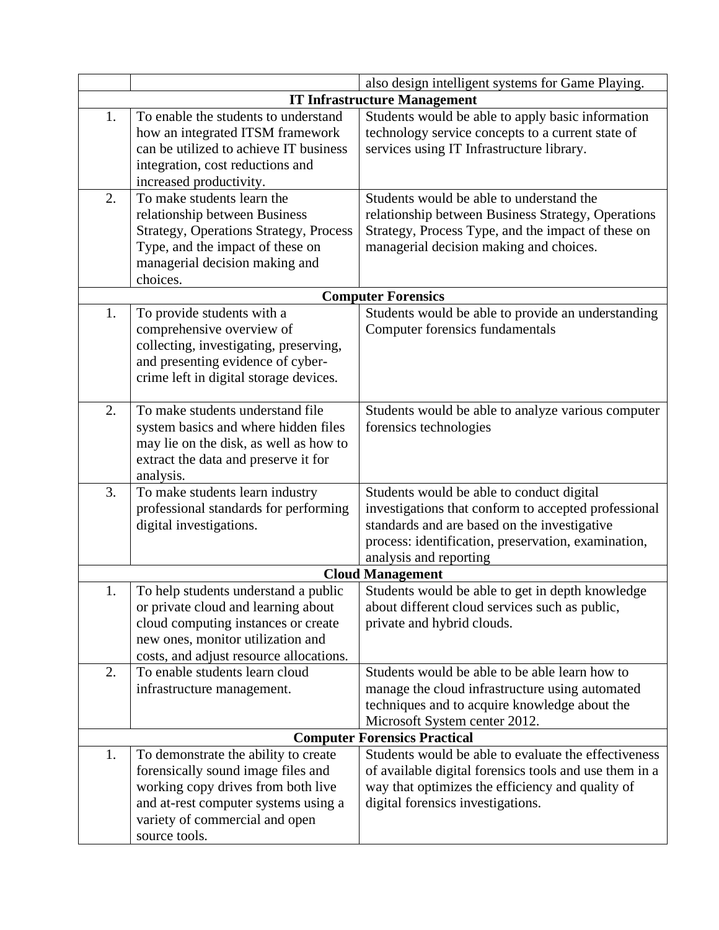|                                     |                                               | also design intelligent systems for Game Playing.      |
|-------------------------------------|-----------------------------------------------|--------------------------------------------------------|
| <b>IT Infrastructure Management</b> |                                               |                                                        |
| 1.                                  | To enable the students to understand          | Students would be able to apply basic information      |
|                                     | how an integrated ITSM framework              | technology service concepts to a current state of      |
|                                     | can be utilized to achieve IT business        | services using IT Infrastructure library.              |
|                                     | integration, cost reductions and              |                                                        |
|                                     | increased productivity.                       |                                                        |
| 2.                                  | To make students learn the                    | Students would be able to understand the               |
|                                     | relationship between Business                 | relationship between Business Strategy, Operations     |
|                                     | <b>Strategy, Operations Strategy, Process</b> | Strategy, Process Type, and the impact of these on     |
|                                     | Type, and the impact of these on              | managerial decision making and choices.                |
|                                     | managerial decision making and                |                                                        |
|                                     | choices.                                      |                                                        |
|                                     |                                               | <b>Computer Forensics</b>                              |
| 1.                                  | To provide students with a                    | Students would be able to provide an understanding     |
|                                     | comprehensive overview of                     | Computer forensics fundamentals                        |
|                                     | collecting, investigating, preserving,        |                                                        |
|                                     | and presenting evidence of cyber-             |                                                        |
|                                     | crime left in digital storage devices.        |                                                        |
| 2.                                  | To make students understand file              | Students would be able to analyze various computer     |
|                                     | system basics and where hidden files          | forensics technologies                                 |
|                                     | may lie on the disk, as well as how to        |                                                        |
|                                     | extract the data and preserve it for          |                                                        |
|                                     | analysis.                                     |                                                        |
| 3.                                  | To make students learn industry               | Students would be able to conduct digital              |
|                                     | professional standards for performing         | investigations that conform to accepted professional   |
|                                     | digital investigations.                       | standards and are based on the investigative           |
|                                     |                                               | process: identification, preservation, examination,    |
|                                     |                                               | analysis and reporting                                 |
|                                     |                                               | <b>Cloud Management</b>                                |
| 1.                                  | To help students understand a public          | Students would be able to get in depth knowledge       |
|                                     | or private cloud and learning about           | about different cloud services such as public,         |
|                                     | cloud computing instances or create           | private and hybrid clouds.                             |
|                                     | new ones, monitor utilization and             |                                                        |
|                                     | costs, and adjust resource allocations.       |                                                        |
| 2.                                  | To enable students learn cloud                | Students would be able to be able learn how to         |
|                                     | infrastructure management.                    | manage the cloud infrastructure using automated        |
|                                     |                                               | techniques and to acquire knowledge about the          |
|                                     |                                               | Microsoft System center 2012.                          |
|                                     |                                               | <b>Computer Forensics Practical</b>                    |
| 1.                                  | To demonstrate the ability to create          | Students would be able to evaluate the effectiveness   |
|                                     | forensically sound image files and            | of available digital forensics tools and use them in a |
|                                     | working copy drives from both live            | way that optimizes the efficiency and quality of       |
|                                     | and at-rest computer systems using a          | digital forensics investigations.                      |
|                                     | variety of commercial and open                |                                                        |
|                                     | source tools.                                 |                                                        |